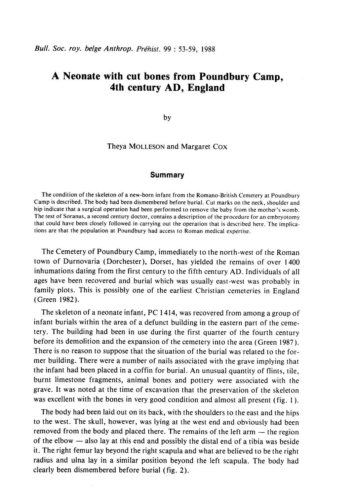# A Neonate with cut bones from Poundbury Camp, 4th century AD, England

by

Theya MOLLESON and Margaret COX

## Summary

The condition of the skeleton of a new-born infant from the Romano-British Cemetery at Poundbury Camp is described. The body had been dismembered before burial. Cut marks on rhe neck, shoulder and hip indicate that a surgical operation had been performed to remove the baby from the morher's womb. The text of Soranus, a second century doctor, contains a description of the procedure for an embryotomy that could have been closely followed in carrying out the operation that is described here. The implications are that the population at Poundbury had access to Roman medical expertise.

The Cemetery of Poundbury Camp, immediately to the north-west of the Roman town of Durnovaria (Dorchester), Dorset, has yielded the remains of over 1400 inhumations dating from the first century to the fifth century AD. Individuals of all ages have been recovered and burial which was usually east-west was probably in family plots. This is possibly one of the earliest Christian cemeteries in England (Green 1982).

The skeleton of a neonate infant, PC 1414, was recovered from among a group of infant burials within the area of a defunct building in the eastern part of the cemetery. The building had been in use during the first quarter of the fourth century before its demolition and the expansion of the cemetery into the area (Green 1987 ). There is no reason to suppose that the situation of the burial was related to the former building. There were a number of nails associated with the grave implying that the infant had been placed in a coffin for burial. An unusual quantity of flints, tile, burnt limestone fragments, animal bones and pottery were associated with the grave. lt was noted at the time of excavation that the preservation of the skeleton was excellent with the bones in very good condition and almost all present (fig. 1).

The body had been laid out on its back, with the shoulders to the easr and the hips to the west. The skull, however, was lying at the west end and obviously had been removed from the body and placed there. The remains of the left arm  $-$  the region of the elbow  $-$  also lay at this end and possibly the distal end of a tibia was beside it. The right femur lay beyond the right scapula and what are believed to be the right radius and ulna lay in a similar position beyond the left scapula. The body had clearly been dismembered before burial (fig. 2).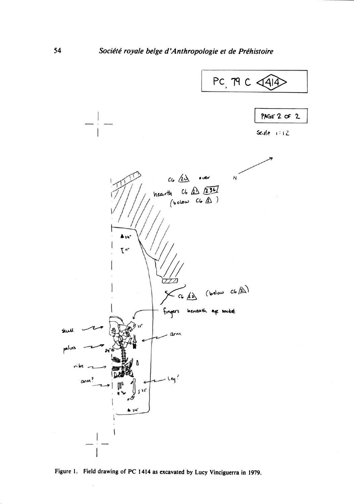

Figure 1. Field drawing of PC 1414 as excavated by Lucy Vinciguerra in 1979.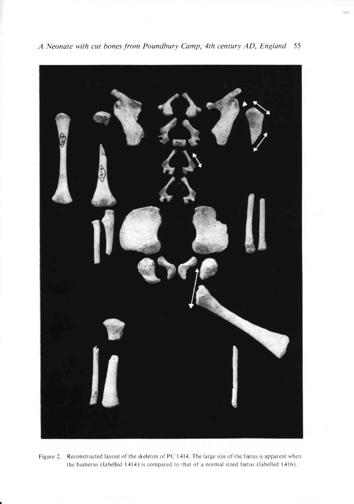

A Neonate with cut bones from Poundbury Camp, 4th century AD, England 55

Figure 2. Reconstructed layout of the skeleton of PC 1414. The large size of the fœtus is apparent when the humerus (labelled 1414) is compared to that of a normal sized fœtus (labelled 1416).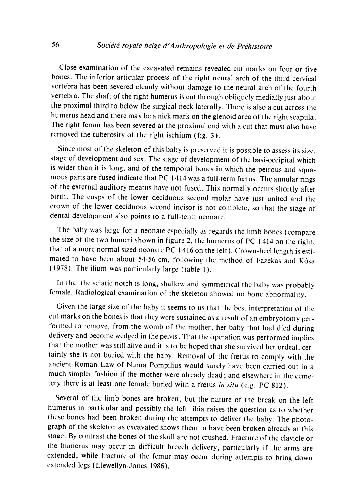Close examination of the excavated remains revealed cut marks on four or five bones. The inferior articular process of the right neural arch of the third cervical vertebra has been severed cleanly without damage to the neural arch of the fourth vertebra. The shaft of the right humerus is cut through obliquely medially just about the proximal third to below the surgical neck laterally. There is also a cut across the humerus head and there may be a nick mark on the glenoid area of the right scapula. The right femur has been severed at the proximal end with a cut that must also have removed the tuberosity of the right ischium (fig. 3).

Since most of the skeleton of this baby is preserved it is possible to assess its size, stage of development and sex. The stage of development of the basi-occipital which is wider than it is long, and of the temporal bones in which the petrous and squamous parts are fused indicate that PC 1414 was a full-term fœtus. The annular rings of the external auditory meatus have not fused. This normally occurs shortly after birth. The cusps of the lower deciduous second molar have just united and the crown of the lower deciduous second incisor is not complete, so that the stage of dental development also points to a full-term neonate.

'fhe baby was large for a neonate especially as regards the limb bones (compare the size of the two humeri shown in figure 2, the humerus of PC 1414 on the right, that of a more normal sized neonate PC  $1416$  on the left). Crown-heel length is estimated to have been about 54-56 cm, following the method of Fazekas and Kôsa ( 1978). The ilium was parricularly large (table l).

In that the sciatic notch is long, shallow and symmetrical the baby was probably female. Radiological examination of the skeleton showed no bone abnormality.

Given the large size of the baby it seems to us that the best interpretation of the cut marks on the bones is that they were sustained as a result of an embryotomy performed to remove, from the womb of the mother, her baby that had died during delivery and become wedged in the pelvis. That the operation was performed implies that the mother was still alive and it is to be hoped that she survived her ordeal, certainly she is not buried with the baby. Removal of the fætus to comply with the ancient Roman Law of Numa Pompilius would surely have been carried out in a much simpler fashion if the mother were already dead; and elsewhere in the cemetery there is at least one female buried with a fœtus in situ (e.g. PC 812).

Several of the limb bones are broken, but the nature of the break on the left humerus in particular and possibly the left tibia raises the question as to whether these bones had been broken during the attempts to deliver the baby. The photograph of the skeleton as excavated shows them to have been broken already at this stage. By contrast the bones of the skull are not crushed. Fracture of the clavicle or the humerus may occur in difficult breech delivery, particularly if the arms are extended, while fracture of the femur may occur during attempts to bring down extended legs (Llewellyn-Jones 1986).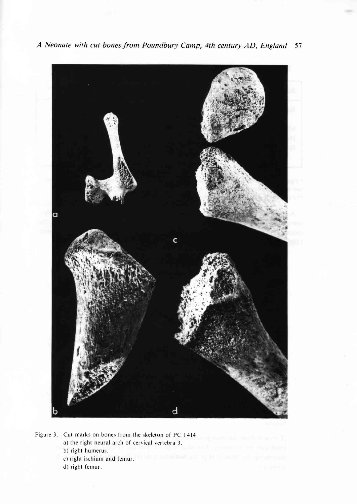

A Neonate with cut bones from Poundbury Camp, 4th century AD, England 57

Figure 3. Cut marks on bones from the skeleton of PC 1414. a) the right neural arch of cervical vertebra 3. b) right humerus. c) right ischium and femur. Which is hot their games of the contract of the property on d) right femur.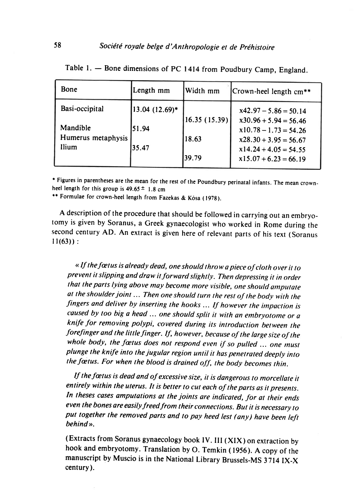| Bone                                                      | Length mm                        | Width mm              | Crown-heel length cm**                                                                                   |
|-----------------------------------------------------------|----------------------------------|-----------------------|----------------------------------------------------------------------------------------------------------|
| Basi-occipital<br>Mandible<br>Humerus metaphysis<br>Ilium | 13.04 (12.69)*<br>51.94<br>35.47 | 16.35(15.39)<br>18.63 | $x42.97 - 5.86 = 50.14$<br>$x30.96 + 5.94 = 56.46$<br>$x10.78 - 1.73 = 54.26$<br>$x28.30 + 3.95 = 56.67$ |
|                                                           |                                  | 39.79                 | $x14.24 + 4.05 = 54.55$<br>$x15.07 + 6.23 = 66.19$                                                       |

Table 1. - Bone dimensions of PC 1414 from Poudbury Camp, England.

t Figures in parentheses are the mean for the rest of the Poundbury perinatal infants. The mean crownheel length for this group is  $49.65 \pm 1.8$  cm

\*\* Formulae for crown-heel length from Fazekas & Kósa (1978).

A description of the procedure that should be followed in carrying out an embryotomy is given by Soranus, a Greek gynaecologist who worked in Rome during the second century AD. An extract is given here of relevant parts of his text (Soranus  $11(63)$ :

« If the fœtus is already dead, one should throw a piece of cloth over it to prevent it slipping and draw it forward stightly. Then depressing it in order that the parts lying above may become more visible, one should amputate at the shoulder joint ... Then one should turn the rest of the body with the fingers and deliver by inserting the hooks... If however the impaction is caused by too big a head ... one should split it with an embryotome or a knife for removing polypi, covered during irs inrroduction berween the forefinger and the little finger. If, however, because of the large size of the whole body, the fœtus does not respond even if so pulled  $\ldots$  one must plunge the knife into the jugular region until it has penetrated deeply into the fætus. For when the blood is drained off, the body becomes thin.

If the fætus is dead and of excessive size, it is dangerous to morcellate it entirely within the uterus. It is better to cut each of the parts as it presents. In theses cases amputations at the joints are indicated, for at their ends even the bones are easily freed from their connections. But it is necessary to put together the removed parts and to pay heed lest (any) have been left behind ».

(Extracts from Soranus gynaecology book IV. III (XtX ) on extraction by hook and embryotomy. Translation by O. Temkin (1956). A copy of the manuscript by Muscio is in the National Library Brussels-Ms 3714 IX-X century ).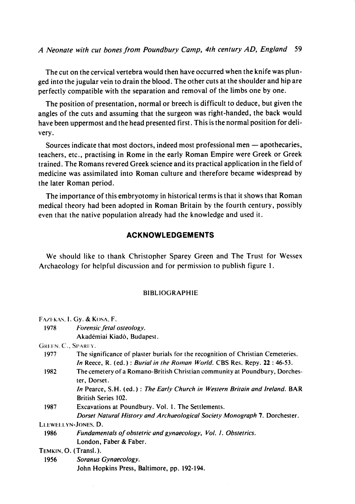The cut on the cervical vertebra would then have occurred when the knife was plunged into the jugular vein to drain the blood. The other cuts at the shoulder and hip are perfectly compatible with the separation and removal of the limbs one by one.

The position of presentation, normal or breech is difficult to deduce, but given the angles of the cuts and assuming that the surgeon was right-handed, the back would have been uppermost and the head presented first. This is the normal position for delivery.

Sources indicate that most doctors, indeed most professional men - apothecaries, teachers, etc., practising in Rome in the early Roman Empire were Greek or Greek trained. The Romans revered Greek science and its practical application in the field of medicine was assimilated into Roman culture and therefore became widespread by the later Roman period.

The importance of this embryotomy in historical terms is that it shows that Roman medical theory had been adopted in Roman Britain by the fourth century, possibly even that the native population already had the knowledge and used it.

# ACKNOWLEDGEMENTS

We should like to thank Christopher Sparey Creen and The Trust for Wessex Archaeology for helpful discussion and for permission to publish figure l.

### BIBLIOGRAPHIE

|                       | FAZERAS, I. Gy. & KOSA, F.                                                       |
|-----------------------|----------------------------------------------------------------------------------|
| 1978                  | Forensic fetal osteology.                                                        |
|                       | Akadémiai Kiadó, Budapest.                                                       |
| GREEN, C., SPAREY.    |                                                                                  |
| 1977                  | The significance of plaster burials for the recognition of Christian Cemeteries. |
|                       | In Reece, R. (ed.): Burial in the Roman World. CBS Res. Repy. 22: 46-53.         |
| 1982                  | The cemetery of a Romano-British Christian community at Poundbury, Dorches-      |
|                       | ter, Dorset.                                                                     |
|                       | In Pearce, S.H. (ed.): The Early Church in Western Britain and Ireland. BAR      |
|                       | <b>British Series 102.</b>                                                       |
| 1987                  | Excavations at Poundbury. Vol. 1. The Settlements.                               |
|                       | Dorset Natural History and Archaeological Society Monograph 7. Dorchester.       |
| LLEWELLYN-JONES, D.   |                                                                                  |
| 1986                  | Fundamentals of obstetric and gynaecology, Vol. 1. Obstetrics.                   |
|                       | London, Faber & Faber.                                                           |
| TEMKIN, O. (Transl.). |                                                                                  |
| 1956                  | Soranus Gynaecology.                                                             |
|                       | John Hopkins Press, Baltimore, pp. 192-194.                                      |